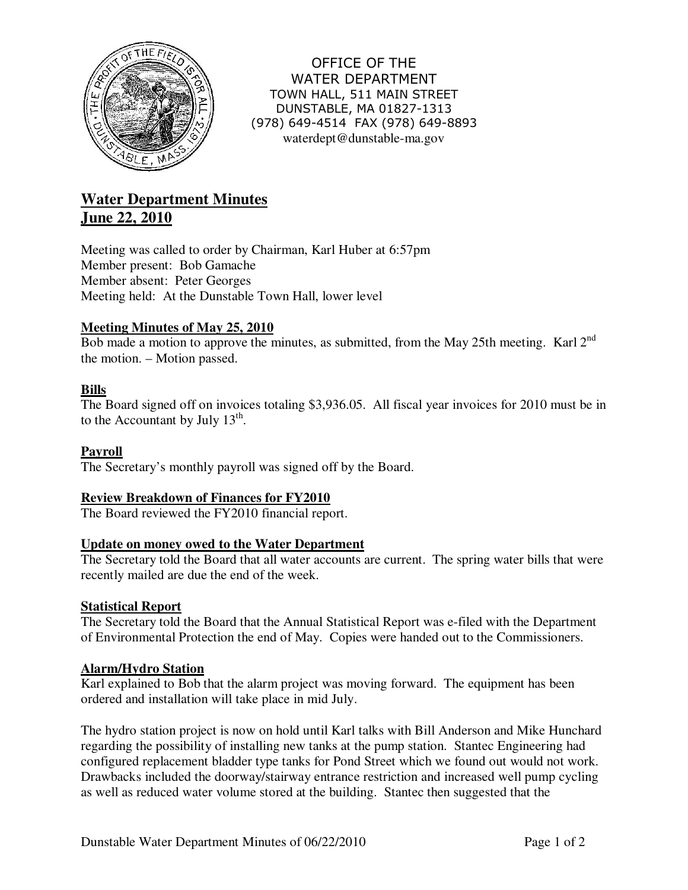

OFFICE OF THE WATER DEPARTMENT TOWN HALL, 511 MAIN STREET DUNSTABLE, MA 01827-1313 (978) 649-4514 FAX (978) 649-8893 waterdept@dunstable-ma.gov

# **Water Department Minutes June 22, 2010**

Meeting was called to order by Chairman, Karl Huber at 6:57pm Member present: Bob Gamache Member absent: Peter Georges Meeting held: At the Dunstable Town Hall, lower level

# **Meeting Minutes of May 25, 2010**

Bob made a motion to approve the minutes, as submitted, from the May 25th meeting. Karl  $2^{nd}$ the motion. – Motion passed.

# **Bills**

The Board signed off on invoices totaling \$3,936.05. All fiscal year invoices for 2010 must be in to the Accountant by July  $13<sup>th</sup>$ .

## **Payroll**

The Secretary's monthly payroll was signed off by the Board.

# **Review Breakdown of Finances for FY2010**

The Board reviewed the FY2010 financial report.

## **Update on money owed to the Water Department**

The Secretary told the Board that all water accounts are current. The spring water bills that were recently mailed are due the end of the week.

## **Statistical Report**

The Secretary told the Board that the Annual Statistical Report was e-filed with the Department of Environmental Protection the end of May. Copies were handed out to the Commissioners.

## **Alarm/Hydro Station**

Karl explained to Bob that the alarm project was moving forward. The equipment has been ordered and installation will take place in mid July.

The hydro station project is now on hold until Karl talks with Bill Anderson and Mike Hunchard regarding the possibility of installing new tanks at the pump station. Stantec Engineering had configured replacement bladder type tanks for Pond Street which we found out would not work. Drawbacks included the doorway/stairway entrance restriction and increased well pump cycling as well as reduced water volume stored at the building. Stantec then suggested that the